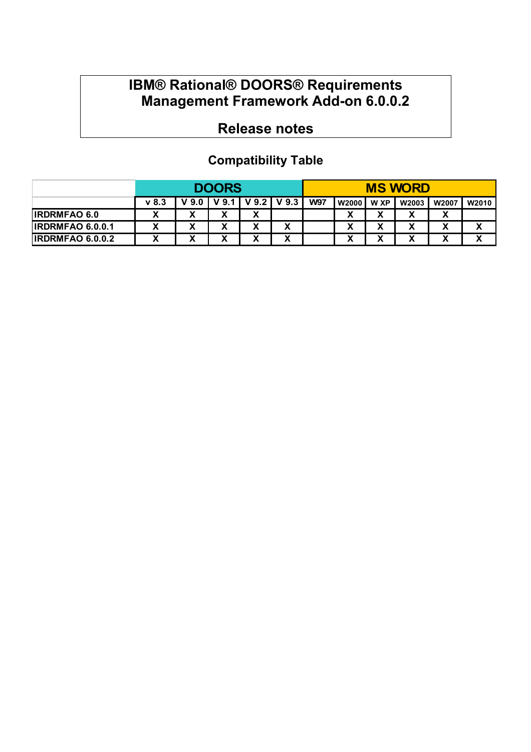# **IBM® Rational® DOORS® Requirements Management Framework Add-on 6.0.0.2**

# **Release notes**

## **Compatibility Table**

|                         | <b>DOORS</b> |                  |        |                 |                               |            | <b>MS WORD</b> |        |                      |        |       |
|-------------------------|--------------|------------------|--------|-----------------|-------------------------------|------------|----------------|--------|----------------------|--------|-------|
|                         | v 8.3        | V <sub>9.0</sub> | 9.1    | $V$ 9.2 $\vert$ | V <sub>9.3</sub>              | <b>W97</b> | <b>W2000</b>   | W XP   | W2003                | W2007  | W2010 |
| <b>IRDRMFAO 6.0</b>     | v            | v                | v<br>́ | v<br>Λ          |                               |            | v<br>⋏         | х      | v                    | v<br>Λ |       |
| <b>IRDRMFAO 6.0.0.1</b> | v            | х                | v      | х               | $\overline{\phantom{a}}$<br>Λ |            | v<br>л         | х      | v                    | v      | v     |
| <b>IRDRMFAO 6.0.0.2</b> | v            | v<br>Λ           | v<br>Λ | v<br>Λ          | v<br>́                        |            | v<br>Λ         | Y<br>Λ | $\ddot{\phantom{0}}$ | v<br>n | v     |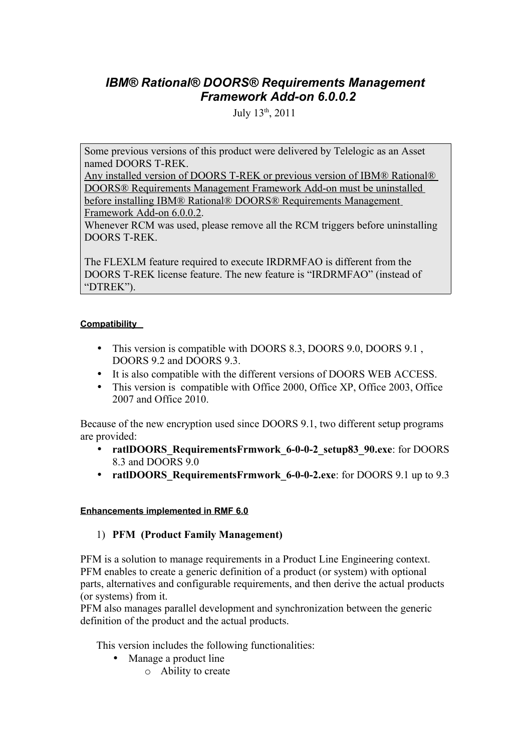## *IBM® Rational® DOORS® Requirements Management Framework Add-on 6.0.0.2*

July 13th, 2011

Some previous versions of this product were delivered by Telelogic as an Asset named DOORS T-REK.

 Any installed version of DOORS T-REK or previous version of IBM® Rational® DOORS® Requirements Management Framework Add-on must be uninstalled before installing IBM® Rational® DOORS® Requirements Management Framework Add-on 6.0.0.2.

Whenever RCM was used, please remove all the RCM triggers before uninstalling DOORS T-REK.

The FLEXLM feature required to execute IRDRMFAO is different from the DOORS T-REK license feature. The new feature is "IRDRMFAO" (instead of "DTREK").

#### **Compatibility**

- This version is compatible with DOORS 8.3, DOORS 9.0, DOORS 9.1, DOORS 9.2 and DOORS 9.3.
- It is also compatible with the different versions of DOORS WEB ACCESS.
- This version is compatible with Office 2000, Office XP, Office 2003, Office 2007 and Office 2010.

Because of the new encryption used since DOORS 9.1, two different setup programs are provided:

- **ratlDOORS\_RequirementsFrmwork\_6-0-0-2\_setup83\_90.exe**: for DOORS 8.3 and DOORS 9.0
- **ratlDOORS** RequirementsFrmwork 6-0-0-2.exe: for DOORS 9.1 up to 9.3

#### **Enhancements implemented in RMF 6.0**

#### 1) **PFM (Product Family Management)**

PFM is a solution to manage requirements in a Product Line Engineering context. PFM enables to create a generic definition of a product (or system) with optional parts, alternatives and configurable requirements, and then derive the actual products (or systems) from it.

PFM also manages parallel development and synchronization between the generic definition of the product and the actual products.

This version includes the following functionalities:

- Manage a product line
	- o Ability to create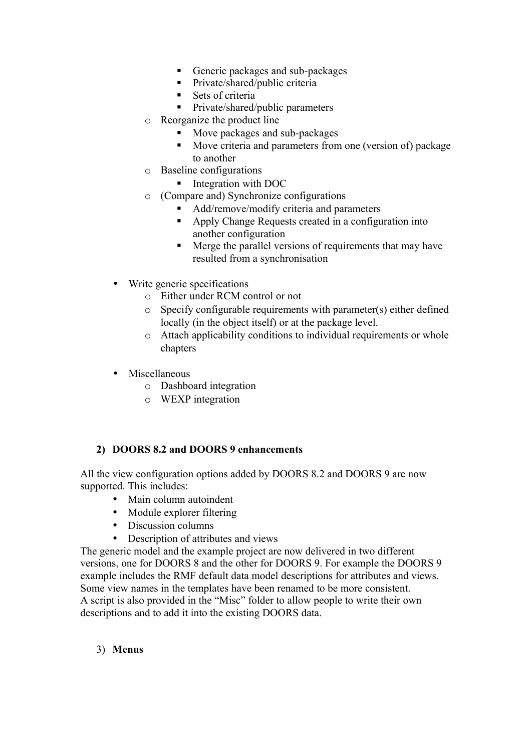- Generic packages and sub-packages
- **Private/shared/public criteria**
- $Sets$  of criteria
- **Private/shared/public parameters**
- o Reorganize the product line
	- **Move packages and sub-packages**
	- Move criteria and parameters from one (version of) package to another
- o Baseline configurations
	- Integration with DOC
- o (Compare and) Synchronize configurations
	- Add/remove/modify criteria and parameters
	- Apply Change Requests created in a configuration into another configuration
	- Merge the parallel versions of requirements that may have resulted from a synchronisation
- Write generic specifications
	- o Either under RCM control or not
	- o Specify configurable requirements with parameter(s) either defined locally (in the object itself) or at the package level.
	- o Attach applicability conditions to individual requirements or whole chapters
- Miscellaneous
	- o Dashboard integration
	- o WEXP integration

#### **2) DOORS 8.2 and DOORS 9 enhancements**

All the view configuration options added by DOORS 8.2 and DOORS 9 are now supported. This includes:

- Main column autoindent
- Module explorer filtering
- Discussion columns
- Description of attributes and views

The generic model and the example project are now delivered in two different versions, one for DOORS 8 and the other for DOORS 9. For example the DOORS 9 example includes the RMF default data model descriptions for attributes and views. Some view names in the templates have been renamed to be more consistent. A script is also provided in the "Misc" folder to allow people to write their own descriptions and to add it into the existing DOORS data.

#### 3) **Menus**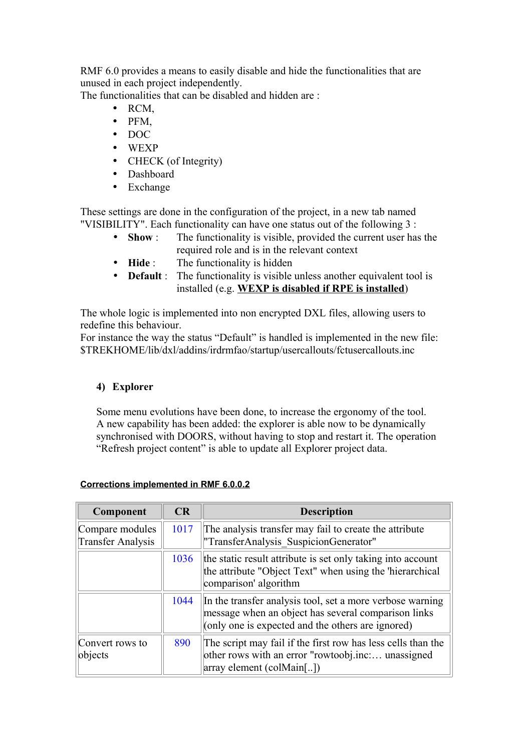RMF 6.0 provides a means to easily disable and hide the functionalities that are unused in each project independently.

The functionalities that can be disabled and hidden are :

- RCM,
- PFM,
- DOC
- WEXP
- CHECK (of Integrity)
- Dashboard
- Exchange

These settings are done in the configuration of the project, in a new tab named "VISIBILITY". Each functionality can have one status out of the following 3 :

- **Show** : The functionality is visible, provided the current user has the required role and is in the relevant context
- **Hide** : The functionality is hidden
- **Default**: The functionality is visible unless another equivalent tool is installed (e.g. **WEXP is disabled if RPE is installed**)

The whole logic is implemented into non encrypted DXL files, allowing users to redefine this behaviour.

For instance the way the status "Default" is handled is implemented in the new file: \$TREKHOME/lib/dxl/addins/irdrmfao/startup/usercallouts/fctusercallouts.inc

## **4) Explorer**

Some menu evolutions have been done, to increase the ergonomy of the tool. A new capability has been added: the explorer is able now to be dynamically synchronised with DOORS, without having to stop and restart it. The operation "Refresh project content" is able to update all Explorer project data.

| Component                                   | CR   | <b>Description</b>                                                                                                                                                    |
|---------------------------------------------|------|-----------------------------------------------------------------------------------------------------------------------------------------------------------------------|
| Compare modules<br><b>Transfer Analysis</b> | 1017 | The analysis transfer may fail to create the attribute<br>"TransferAnalysis SuspicionGenerator"                                                                       |
|                                             | 1036 | the static result attribute is set only taking into account<br>the attribute "Object Text" when using the 'hierarchical<br>comparison' algorithm                      |
|                                             | 1044 | In the transfer analysis tool, set a more verbose warning<br>message when an object has several comparison links<br>(only one is expected and the others are ignored) |
| Convert rows to<br>objects                  | 890  | The script may fail if the first row has less cells than the<br>other rows with an error "rowtoobj.inc unassigned<br>array element (colMain[])                        |

#### **Corrections implemented in RMF 6.0.0.2**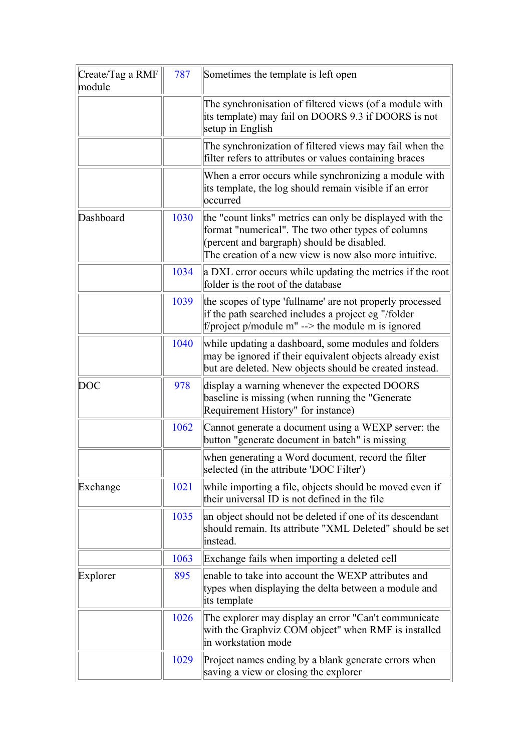| Create/Tag a RMF<br>module | 787  | Sometimes the template is left open                                                                                                                                                                                    |
|----------------------------|------|------------------------------------------------------------------------------------------------------------------------------------------------------------------------------------------------------------------------|
|                            |      | The synchronisation of filtered views (of a module with<br>its template) may fail on DOORS 9.3 if DOORS is not<br>setup in English                                                                                     |
|                            |      | The synchronization of filtered views may fail when the<br>filter refers to attributes or values containing braces                                                                                                     |
|                            |      | When a error occurs while synchronizing a module with<br>its template, the log should remain visible if an error<br>occurred                                                                                           |
| Dashboard                  | 1030 | the "count links" metrics can only be displayed with the<br>format "numerical". The two other types of columns<br>(percent and bargraph) should be disabled.<br>The creation of a new view is now also more intuitive. |
|                            | 1034 | a DXL error occurs while updating the metrics if the root<br>folder is the root of the database                                                                                                                        |
|                            | 1039 | the scopes of type 'fullname' are not properly processed<br>if the path searched includes a project eg "/folder<br>f/project $p$ /module m" --> the module m is ignored                                                |
|                            | 1040 | while updating a dashboard, some modules and folders<br>may be ignored if their equivalent objects already exist<br>but are deleted. New objects should be created instead.                                            |
| <b>DOC</b>                 | 978  | display a warning whenever the expected DOORS<br>baseline is missing (when running the "Generate<br>Requirement History" for instance)                                                                                 |
|                            | 1062 | Cannot generate a document using a WEXP server: the<br>button "generate document in batch" is missing                                                                                                                  |
|                            |      | when generating a Word document, record the filter<br>selected (in the attribute 'DOC Filter')                                                                                                                         |
| Exchange                   | 1021 | while importing a file, objects should be moved even if<br>their universal ID is not defined in the file                                                                                                               |
|                            | 1035 | an object should not be deleted if one of its descendant<br>should remain. Its attribute "XML Deleted" should be set<br>instead.                                                                                       |
|                            | 1063 | Exchange fails when importing a deleted cell                                                                                                                                                                           |
| Explorer                   | 895  | enable to take into account the WEXP attributes and<br>types when displaying the delta between a module and<br>its template                                                                                            |
|                            | 1026 | The explorer may display an error "Can't communicate"<br>with the Graphviz COM object" when RMF is installed<br>in workstation mode                                                                                    |
|                            | 1029 | Project names ending by a blank generate errors when<br>saving a view or closing the explorer                                                                                                                          |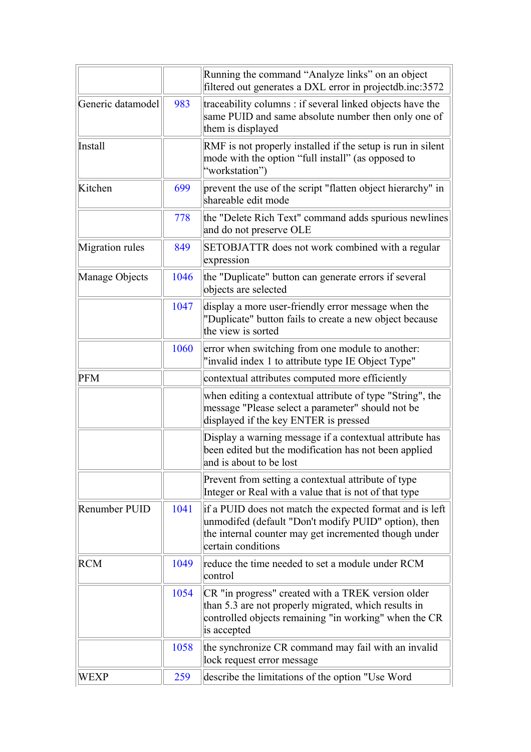|                      |      | Running the command "Analyze links" on an object                                                                                                                                                |
|----------------------|------|-------------------------------------------------------------------------------------------------------------------------------------------------------------------------------------------------|
|                      |      | filtered out generates a DXL error in projectdb.inc:3572                                                                                                                                        |
| Generic datamodel    | 983  | traceability columns : if several linked objects have the<br>same PUID and same absolute number then only one of<br>them is displayed                                                           |
| Install              |      | RMF is not properly installed if the setup is run in silent<br>mode with the option "full install" (as opposed to<br>"workstation")                                                             |
| Kitchen              | 699  | prevent the use of the script "flatten object hierarchy" in<br>shareable edit mode                                                                                                              |
|                      | 778  | the "Delete Rich Text" command adds spurious newlines<br>and do not preserve OLE                                                                                                                |
| Migration rules      | 849  | SETOBJATTR does not work combined with a regular<br>expression                                                                                                                                  |
| Manage Objects       | 1046 | the "Duplicate" button can generate errors if several<br>objects are selected                                                                                                                   |
|                      | 1047 | display a more user-friendly error message when the<br>"Duplicate" button fails to create a new object because<br>the view is sorted                                                            |
|                      | 1060 | error when switching from one module to another:<br>"invalid index 1 to attribute type IE Object Type"                                                                                          |
| <b>PFM</b>           |      | contextual attributes computed more efficiently                                                                                                                                                 |
|                      |      | when editing a contextual attribute of type "String", the<br>message "Please select a parameter" should not be<br>displayed if the key ENTER is pressed                                         |
|                      |      | Display a warning message if a contextual attribute has<br>been edited but the modification has not been applied<br>and is about to be lost                                                     |
|                      |      | Prevent from setting a contextual attribute of type<br>Integer or Real with a value that is not of that type                                                                                    |
| <b>Renumber PUID</b> | 1041 | if a PUID does not match the expected format and is left<br>unmodifed (default "Don't modify PUID" option), then<br>the internal counter may get incremented though under<br>certain conditions |
| <b>RCM</b>           | 1049 | reduce the time needed to set a module under RCM<br>control                                                                                                                                     |
|                      | 1054 | CR "in progress" created with a TREK version older<br>than 5.3 are not properly migrated, which results in<br>controlled objects remaining "in working" when the CR<br>is accepted              |
|                      | 1058 | the synchronize CR command may fail with an invalid<br>lock request error message                                                                                                               |
| WEXP                 | 259  | describe the limitations of the option "Use Word"                                                                                                                                               |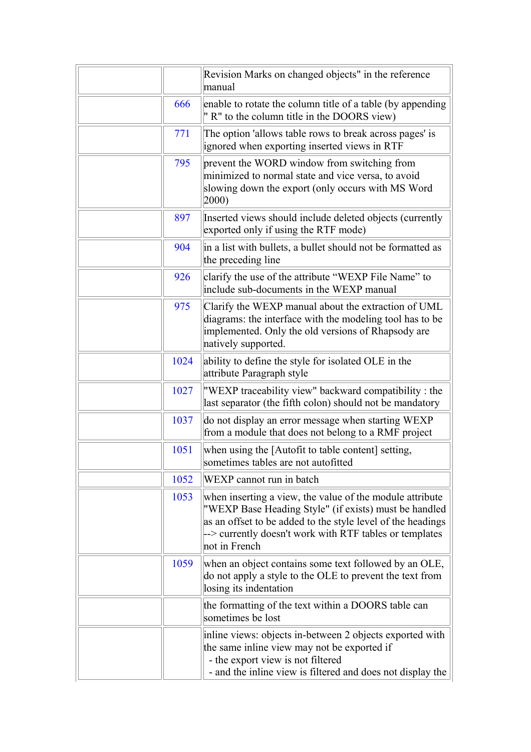|      | Revision Marks on changed objects" in the reference<br>manual                                                                                                                                                                                                |
|------|--------------------------------------------------------------------------------------------------------------------------------------------------------------------------------------------------------------------------------------------------------------|
| 666  | enable to rotate the column title of a table (by appending<br>" R" to the column title in the DOORS view)                                                                                                                                                    |
| 771  | The option 'allows table rows to break across pages' is<br>ignored when exporting inserted views in RTF                                                                                                                                                      |
| 795  | prevent the WORD window from switching from<br>minimized to normal state and vice versa, to avoid<br>slowing down the export (only occurs with MS Word<br>$ 2000\rangle$                                                                                     |
| 897  | Inserted views should include deleted objects (currently<br>exported only if using the RTF mode)                                                                                                                                                             |
| 904  | in a list with bullets, a bullet should not be formatted as<br>the preceding line                                                                                                                                                                            |
| 926  | clarify the use of the attribute "WEXP File Name" to<br>include sub-documents in the WEXP manual                                                                                                                                                             |
| 975  | Clarify the WEXP manual about the extraction of UML<br>diagrams: the interface with the modeling tool has to be<br>implemented. Only the old versions of Rhapsody are<br>natively supported.                                                                 |
| 1024 | ability to define the style for isolated OLE in the<br>attribute Paragraph style                                                                                                                                                                             |
| 1027 | "WEXP traceability view" backward compatibility: the<br>last separator (the fifth colon) should not be mandatory                                                                                                                                             |
| 1037 | do not display an error message when starting WEXP<br>from a module that does not belong to a RMF project                                                                                                                                                    |
| 1051 | when using the [Autofit to table content] setting,<br>sometimes tables are not autofitted                                                                                                                                                                    |
| 1052 | WEXP cannot run in batch                                                                                                                                                                                                                                     |
| 1053 | when inserting a view, the value of the module attribute<br>"WEXP Base Heading Style" (if exists) must be handled<br>as an offset to be added to the style level of the headings<br>--> currently doesn't work with RTF tables or templates<br>not in French |
| 1059 | when an object contains some text followed by an OLE,<br>do not apply a style to the OLE to prevent the text from<br>losing its indentation                                                                                                                  |
|      | the formatting of the text within a DOORS table can<br>sometimes be lost                                                                                                                                                                                     |
|      | in line views: objects in-between 2 objects exported with<br>the same inline view may not be exported if<br>- the export view is not filtered<br>- and the inline view is filtered and does not display the                                                  |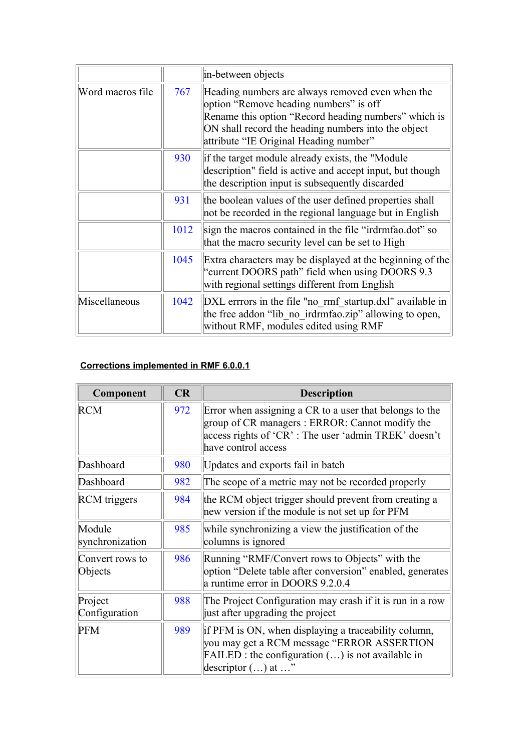|                  |      | in-between objects                                                                                                                                                                                                                                  |
|------------------|------|-----------------------------------------------------------------------------------------------------------------------------------------------------------------------------------------------------------------------------------------------------|
| Word macros file | 767  | Heading numbers are always removed even when the<br>option "Remove heading numbers" is off<br>Rename this option "Record heading numbers" which is<br>ON shall record the heading numbers into the object<br>attribute "IE Original Heading number" |
|                  | 930  | if the target module already exists, the "Module"<br>description" field is active and accept input, but though<br>the description input is subsequently discarded                                                                                   |
|                  | 931  | the boolean values of the user defined properties shall<br>not be recorded in the regional language but in English                                                                                                                                  |
|                  | 1012 | sign the macros contained in the file "irdrmfao.dot" so<br>that the macro security level can be set to High                                                                                                                                         |
|                  | 1045 | Extra characters may be displayed at the beginning of the<br>"current DOORS path" field when using DOORS 9.3<br>with regional settings different from English                                                                                       |
| Miscellaneous    | 1042 | DXL errrors in the file "no rmf startup.dxl" available in<br>the free addon "lib no irdrmfao.zip" allowing to open,<br>without RMF, modules edited using RMF                                                                                        |

#### **Corrections implemented in RMF 6.0.0.1**

| Component                  | CR  | <b>Description</b>                                                                                                                                                                       |
|----------------------------|-----|------------------------------------------------------------------------------------------------------------------------------------------------------------------------------------------|
| <b>RCM</b>                 | 972 | Error when assigning a CR to a user that belongs to the<br>group of CR managers: ERROR: Cannot modify the<br>access rights of 'CR': The user 'admin TREK' doesn't<br>have control access |
| Dashboard                  | 980 | Updates and exports fail in batch                                                                                                                                                        |
| Dashboard                  | 982 | The scope of a metric may not be recorded properly                                                                                                                                       |
| <b>RCM</b> triggers        | 984 | the RCM object trigger should prevent from creating a<br>new version if the module is not set up for PFM                                                                                 |
| Module<br>synchronization  | 985 | while synchronizing a view the justification of the<br>columns is ignored                                                                                                                |
| Convert rows to<br>Objects | 986 | Running "RMF/Convert rows to Objects" with the<br>option "Delete table after conversion" enabled, generates<br>a runtime error in DOORS 9.2.0.4                                          |
| Project<br>Configuration   | 988 | The Project Configuration may crash if it is run in a row<br>just after upgrading the project                                                                                            |
| <b>PFM</b>                 | 989 | if PFM is ON, when displaying a traceability column,<br>you may get a RCM message "ERROR ASSERTION<br>$FAILED$ : the configuration $()$ is not available in<br>descriptor $()$ at $$ "   |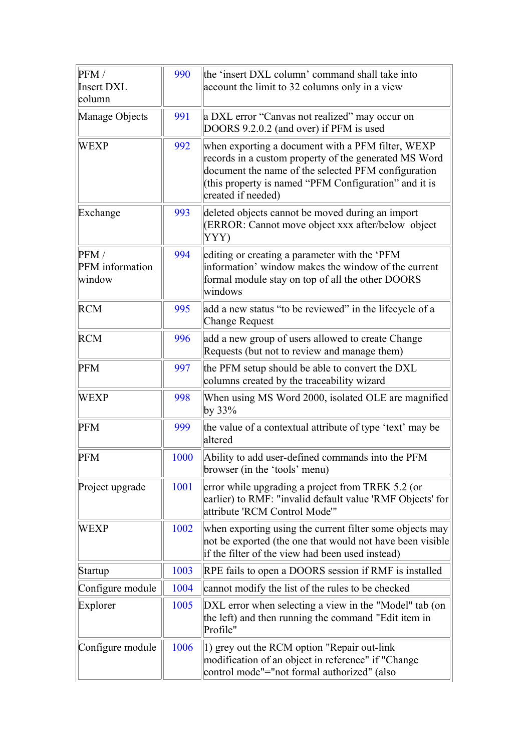| PFM/<br><b>Insert DXL</b><br>column | 990  | the 'insert DXL column' command shall take into<br>account the limit to 32 columns only in a view                                                                                                                                                |
|-------------------------------------|------|--------------------------------------------------------------------------------------------------------------------------------------------------------------------------------------------------------------------------------------------------|
| Manage Objects                      | 991  | a DXL error "Canvas not realized" may occur on<br>DOORS 9.2.0.2 (and over) if PFM is used                                                                                                                                                        |
| <b>WEXP</b>                         | 992  | when exporting a document with a PFM filter, WEXP<br>records in a custom property of the generated MS Word<br>document the name of the selected PFM configuration<br>(this property is named "PFM Configuration" and it is<br>created if needed) |
| Exchange                            | 993  | deleted objects cannot be moved during an import<br>(ERROR: Cannot move object xxx after/below object<br>YYY)                                                                                                                                    |
| PFM/<br>PFM information<br>window   | 994  | editing or creating a parameter with the 'PFM<br>information' window makes the window of the current<br>formal module stay on top of all the other DOORS<br>windows                                                                              |
| <b>RCM</b>                          | 995  | add a new status "to be reviewed" in the lifecycle of a<br><b>Change Request</b>                                                                                                                                                                 |
| <b>RCM</b>                          | 996  | add a new group of users allowed to create Change<br>Requests (but not to review and manage them)                                                                                                                                                |
| <b>PFM</b>                          | 997  | the PFM setup should be able to convert the DXL<br>columns created by the traceability wizard                                                                                                                                                    |
| <b>WEXP</b>                         | 998  | When using MS Word 2000, isolated OLE are magnified<br>by $33\%$                                                                                                                                                                                 |
| <b>PFM</b>                          | 999  | the value of a contextual attribute of type 'text' may be<br>altered                                                                                                                                                                             |
| <b>PFM</b>                          | 1000 | Ability to add user-defined commands into the PFM<br>browser (in the 'tools' menu)                                                                                                                                                               |
| Project upgrade                     | 1001 | error while upgrading a project from TREK 5.2 (or<br>earlier) to RMF: "invalid default value 'RMF Objects' for<br>attribute 'RCM Control Mode'"                                                                                                  |
| WEXP                                | 1002 | when exporting using the current filter some objects may<br>not be exported (the one that would not have been visible<br>if the filter of the view had been used instead)                                                                        |
| Startup                             | 1003 | RPE fails to open a DOORS session if RMF is installed                                                                                                                                                                                            |
| Configure module                    | 1004 | cannot modify the list of the rules to be checked                                                                                                                                                                                                |
| Explorer                            | 1005 | DXL error when selecting a view in the "Model" tab (on<br>the left) and then running the command "Edit item in<br>Profile"                                                                                                                       |
| Configure module                    | 1006 | 1) grey out the RCM option "Repair out-link"<br>modification of an object in reference" if "Change<br>control mode"="not formal authorized" (also                                                                                                |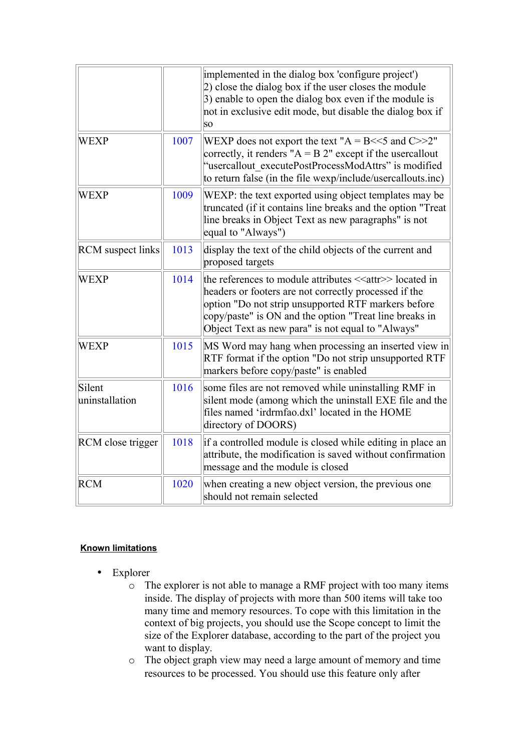|                          |      | implemented in the dialog box 'configure project')<br>2) close the dialog box if the user closes the module<br>3) enable to open the dialog box even if the module is<br>not in exclusive edit mode, but disable the dialog box if<br>SΟ                                                             |
|--------------------------|------|------------------------------------------------------------------------------------------------------------------------------------------------------------------------------------------------------------------------------------------------------------------------------------------------------|
| <b>WEXP</b>              | 1007 | WEXP does not export the text " $A = B \ll 5$ and $C >> 2$ "<br>correctly, it renders " $A = B 2$ " except if the usercallout<br>"usercallout executePostProcessModAttrs" is modified<br>to return false (in the file wexp/include/usercallouts.inc)                                                 |
| <b>WEXP</b>              | 1009 | WEXP: the text exported using object templates may be<br>truncated (if it contains line breaks and the option "Treat<br>line breaks in Object Text as new paragraphs" is not<br>equal to "Always")                                                                                                   |
| <b>RCM</b> suspect links | 1013 | display the text of the child objects of the current and<br>proposed targets                                                                                                                                                                                                                         |
| <b>WEXP</b>              | 1014 | the references to module attributes < <attr>&gt;located in<br/>headers or footers are not correctly processed if the<br/>option "Do not strip unsupported RTF markers before<br/>copy/paste" is ON and the option "Treat line breaks in<br/>Object Text as new para" is not equal to "Always"</attr> |
| <b>WEXP</b>              | 1015 | MS Word may hang when processing an inserted view in<br>RTF format if the option "Do not strip unsupported RTF<br>markers before copy/paste" is enabled                                                                                                                                              |
| Silent<br>uninstallation | 1016 | some files are not removed while uninstalling RMF in<br>silent mode (among which the uninstall EXE file and the<br>files named 'irdrmfao.dxl' located in the HOME<br>directory of DOORS)                                                                                                             |
| RCM close trigger        | 1018 | if a controlled module is closed while editing in place an<br>attribute, the modification is saved without confirmation<br>message and the module is closed                                                                                                                                          |
| <b>RCM</b>               | 1020 | when creating a new object version, the previous one<br>should not remain selected                                                                                                                                                                                                                   |

#### **Known limitations**

- Explorer
	- o The explorer is not able to manage a RMF project with too many items inside. The display of projects with more than 500 items will take too many time and memory resources. To cope with this limitation in the context of big projects, you should use the Scope concept to limit the size of the Explorer database, according to the part of the project you want to display.
	- o The object graph view may need a large amount of memory and time resources to be processed. You should use this feature only after